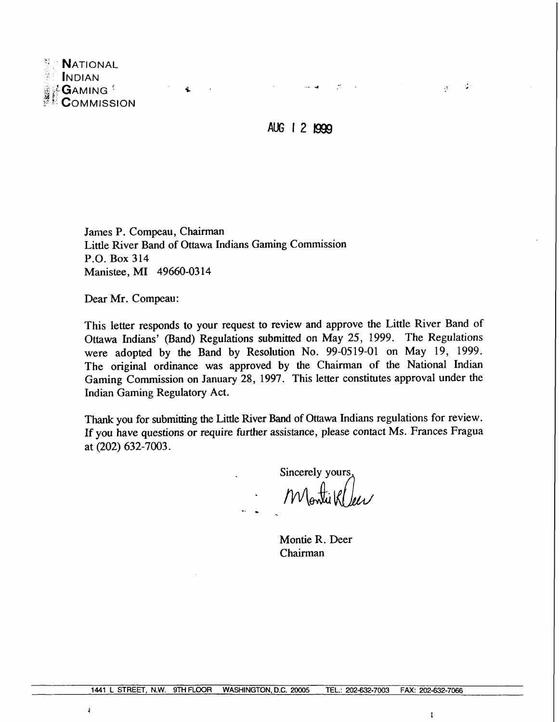

á

**AUG** 121999

.- **<sup>4</sup>**

÷.

 $\mathcal{A}^{\pm}$ 

James P. Compeau, Chairman Little River Band of Ottawa Indians Gaming Commission P.O. Box 314 Manistee, MI 49660-03 14

Dear Mr. Compeau:

This letter responds to your request to review and approve the Little River Band of Ottawa Indians' (Band) Regulations submitted on May 25, 1999. The Regulations were adopted by the Band by Resolution No. 99-0519-01 on May 19, 1999. The original ordinance was approved by the Chairman of the National Indian Gaming Commission on January 28, 1997. This letter constitutes approval under the Indian Gaming Regulatory Act.

Thank you for submitting the Little River Band of Ottawa Indians regulations for review. If you have questions or require further assistance, please contact Ms. Frances Fragua at (202) 632-7003.

Sincerely yours Monti Klee

Montie R. Deer Chairman

**f**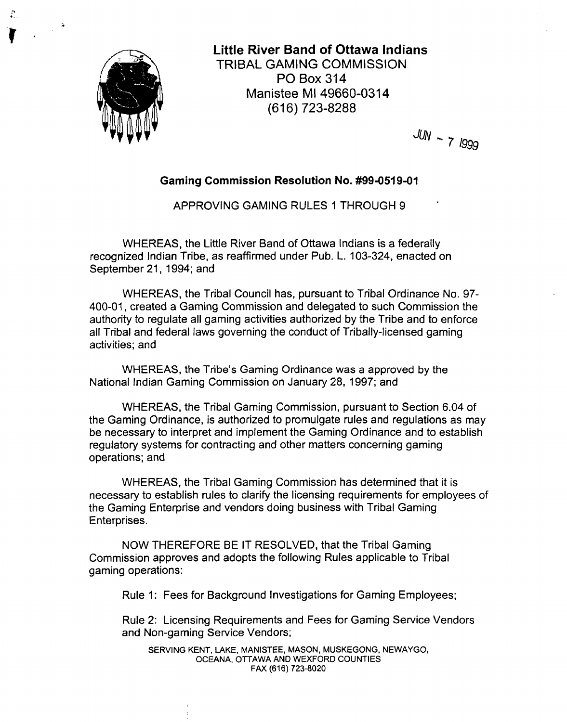

**Little River Band of Ottawa lndians**  TRIBAL GAMING COMMISSION PO Box 314 Manistee MI 49660-031 **4**  (616) 723-8288

 $JUN - 7 1999$ 

#### **Gaming Commission Resolution No. #99-0519-01**

APPROVING GAMING RULES 1 THROUGH 9

WHEREAS, the Little River Band of Ottawa lndians is a federally recognized Indian Tribe, as reaffirmed under Pub. L. 103-324, enacted on September 21, 1994; and

WHEREAS, the Tribal Council has, pursuant to Tribal Ordinance No. 97- 400-01, created a Gaming Commission and delegated to such Commission the authority to regulate all gaming activities authorized by the Tribe and to enforce all Tribal and federal laws governing the conduct of Tribally-licensed gaming activities; and

WHEREAS, the Tribe's Gaming Ordinance was a approved by the National Indian Gaming Commission on January 28, 1997; and

WHEREAS, the Tribal Gaming Commission, pursuant to Section 6.04 of the Gaming Ordinance, is authorized to promulgate rules and regulations as may be necessary to interpret and implement the Gaming Ordinance and to establish regulatory systems for contracting and other matters concerning gaming operations; and

WHEREAS, the Tribal Gaming Commission has determined that it is necessary to establish rules to clarify the licensing requirements for employees of the Gaming Enterprise and vendors doing business with Tribal Gaming Enterprises.

NOW THEREFORE BE IT RESOLVED, that the Tribal Gaming Commission approves and adopts the following Rules applicable to Tribal gaming operations:

Rule 1: Fees for Background Investigations for Gaming Employees;

Rule 2: Licensing Requirements and Fees for Gaming Service Vendors and Non-gaming Service Vendors;

SERVING KENT, LAKE, MANISTEE, MASON, MUSKEGONG, NEWAYGO, OCEANA, OTTAWA AND WEXFORD COUNTIES FAX (61 6) **723-8020**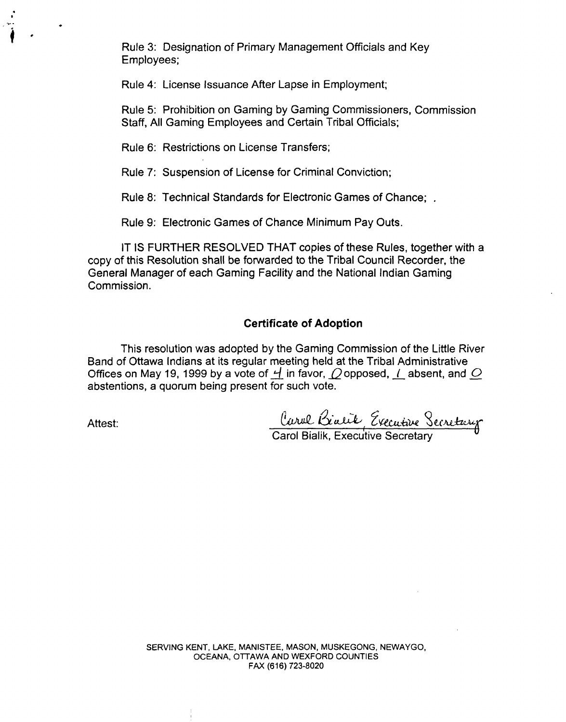Rule 3: Designation of Primary Management Officials and Key Employees;

Rule **4:** License Issuance After Lapse in Employment;

Rule 5: Prohibition on Gaming by Gaming Commissioners, Commission Staff, All Gaming Employees and Certain Tribal Officials;

Rule 6: Restrictions on License Transfers;

Rule 7: Suspension of License for Criminal Conviction;

Rule 8: Technical Standards for Electronic Games of Chance; .

Rule 9: Electronic Games of Chance Minimum Pay Outs.

IT IS FURTHER RESOLVED THAT copies of these Rules, together with a copy of this Resolution shall be forwarded to the Tribal Council Recorder, the General Manager of each Gaming Facility and the National Indian Gaming Commission.

#### **Certificate of Adoption**

This resolution was adopted by the Gaming Commission of the Little River Band of Ottawa Indians at its regular meeting held at the Tribal Administrative Offices on May 19, 1999 by a vote of  $\overline{H}$  in favor,  $\overline{O}$  opposed, I absent, and  $\overline{O}$ abstentions, a quorum being present for such vote. Offices on May 19, 1999 by a vote or <u>4</u> in favor, *Q* opposed, *L* absent,<br>abstentions, a quorum being present for such vote.<br>Attest:<br>Carol Bialik, Executive Secretary

SERVING KENT, LAKE. MANISTEE. MASON, MUSKEGONG, NEWAYGO, OCEANA, OTTAWA AND WEXFORD COUNTIES FAX (61 **6) 723-8020**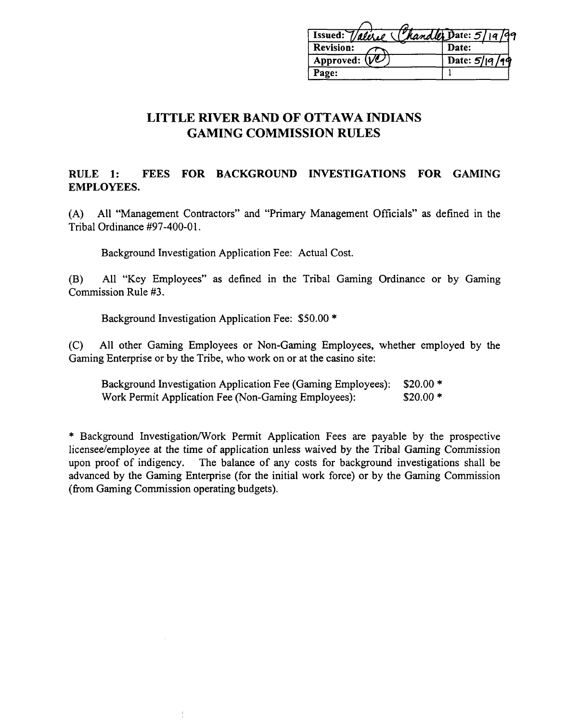| Issued: Valeric Chandler Date: 5/19/99 |                 |
|----------------------------------------|-----------------|
| <b>Revision:</b>                       | Date:           |
| Approved: $(V2)$                       | Date: $5/19/19$ |
| Page:                                  |                 |
|                                        |                 |

### **RULE 1: FEES FOR BACKGROUND INVESTIGATIONS FOR GAMING EMPLOYEES.**

(A) All "Management Contractors" and "Primary Management Officials" as defined in the Tribal Ordinance #97-400-01.

Background Investigation Application Fee: Actual Cost.

(B) All "Key Employees" as defined in the Tribal Gaming Ordinance or by Gaming Commission Rule **#3.** 

Background Investigation Application Fee: \$50.00 \*

(C) All other Gaming Employees or Non-Gaming Employees, whether employed by the Gaming Enterprise or by the Tribe, who work on or at the casino site:

Background Investigation Application Fee (Gaming Employees): \$20.00 \* Work Permit Application Fee (Non-Gaming Employees): \$20.00 \*

\* Background Investigation/Work Permit Application Fees are payable by the prospective licensee/employee at the time of application unless waived by the Tribal Gaming Commission upon proof of indigency. The balance of any costs for background investigations shall be advanced by the Gaming Enterprise (for the initial work force) or by the Gaming Commission (from Gaming Commission operating budgets).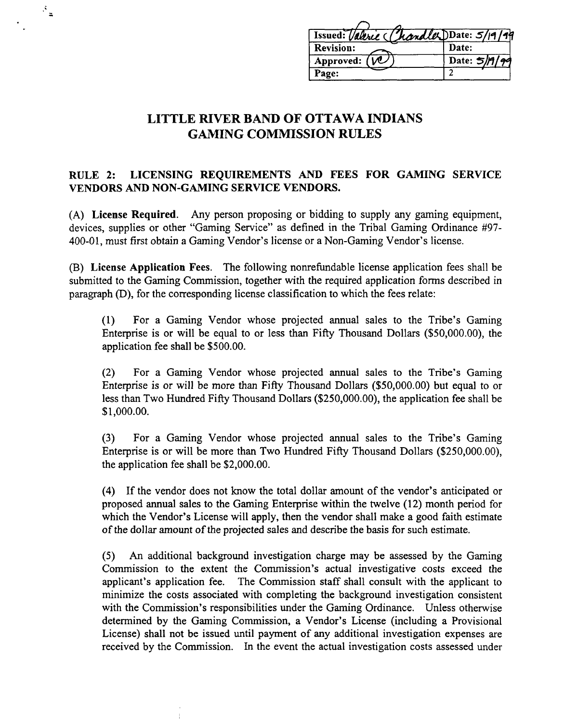| Issued: Valeric Chandler DDate: 5/19/99 |              |
|-----------------------------------------|--------------|
| <b>Revision:</b>                        | Date:        |
| Approved: $(\mathcal{W})$               | Date: 5/A/99 |
| Page:                                   |              |

 $\mathcal{F}_{\underline{\pi}}$ 

### **RULE 2: LICENSING REQUIREMENTS AND FEES FOR GAMING SERVICE VENDORS AND NON-GAMING SERVICE VENDORS.**

**(A) License Required.** Any person proposing or bidding to supply any gaming equipment, devices, supplies or other "Gaming Service" as defined in the Tribal Gaming Ordinance #97- 400-01, must first obtain a Gaming Vendor's license or a Non-Gaming Vendor's license.

**(B) License Application Fees.** The following nonrefundable license application fees shall be submitted to the Gaming Commission, together with the required application forms described in paragraph @), for the corresponding license classification to which the fees relate:

(1) For a Gaming Vendor whose projected annual sales to the Tribe's Gaming Enterprise is or will be equal to or less than Fifty Thousand Dollars (\$50,000.00), the application fee shall be \$500.00.

**(2)** For a Gaming Vendor whose projected annual sales to the Tribe's Gaming Enterprise is or will be more than Fifty Thousand Dollars (\$50,000.00) but equal to or less than Two Hundred Fifty Thousand Dollars (\$250,000.00), the application fee shall be \$1,000.00.

**(3)** For a Gaming Vendor whose projected annual sales to the Tribe's Gaming Enterprise is or will be more than Two Hundred Fifty Thousand Dollars (\$250,000.00), the application fee shall be \$2,000.00.

(4) If the vendor does not know the total dollar amount of the vendor's anticipated or proposed annual sales to the Gaming Enterprise within the twelve (12) month period for which the Vendor's License will apply, then the vendor shall make a good faith estimate of the dollar amount of the projected sales and describe the basis for such estimate.

**(5)** An additional background investigation charge may be assessed by the Gaming Commission to the extent the Commission's actual investigative costs exceed the applicant's application fee. The Commission staff shall consult with the applicant to minimize the costs associated with completing the background investigation consistent with the Commission's responsibilities under the Gaming Ordinance. Unless otherwise determined by the Gaming Commission, a Vendor's License (including a Provisional License) shall not be issued until payment of any additional investigation expenses are received by the Commission. In the event the actual investigation costs assessed under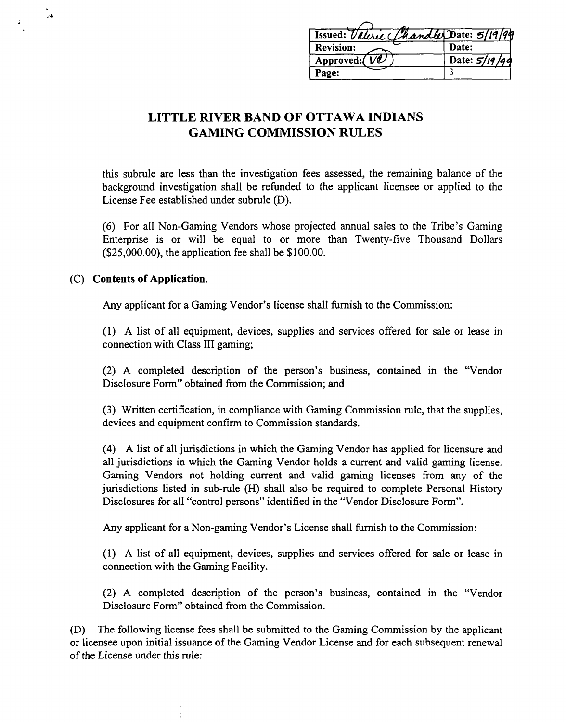|                                      | Issued: Valeric Chandler Date: 5/19/99 |
|--------------------------------------|----------------------------------------|
| <b>Revision:</b>                     | Date:                                  |
| Approved: $(\mathcal{V}\mathcal{L})$ | Date: $5/19/99$                        |
| Page:                                |                                        |
|                                      |                                        |

this subrule are less than the investigation fees assessed, the remaining balance of the background investigation shall be refunded to the applicant licensee or applied to the License Fee established under subrule (D).

(6) For all Non-Gaming Vendors whose projected annual sales to the Tribe's Gaming Enterprise is or will be equal to or more than Twenty-five Thousand Dollars (\$25,000.00), the application fee shall be \$100.00.

#### **(C) Contents of Application.**

 $\overline{a}$ 

Any applicant for a Gaming Vendor's license shall furnish to the Commission:

(1) A list of all equipment, devices, supplies and services offered for sale or lease in connection with Class 111 gaming;

(2) A completed description of the person's business, contained in the "Vendor Disclosure Form" obtained fiom the Commission; and

(3) Written certification, in compliance with Gaming Commission rule, that the supplies, devices and equipment confirm to Commission standards.

(4) A list of all jurisdictions in which the Gaming Vendor has applied for licensure and all jurisdictions in which the Gaming Vendor holds a current and valid gaming license. Gaming Vendors not holding current and valid gaming licenses from any of the jurisdictions listed in sub-rule (H) shall also be required to complete Personal History Disclosures for all "control persons" identified in the "Vendor Disclosure Form".

Any applicant for a Non-gaming Vendor's License shall furnish to the Commission:

(1) A list of all equipment, devices, supplies and services offered for sale or lease in connection with the Gaming Facility.

**(2) A** completed description of the person's business, contained in the "Vendor Disclosure Form" obtained from the Commission.

@) The following license fees shall be submitted to the Gaming Commission by the applicant or licensee upon initial issuance of the Gaming Vendor License and for each subsequent renewal of the License under this rule: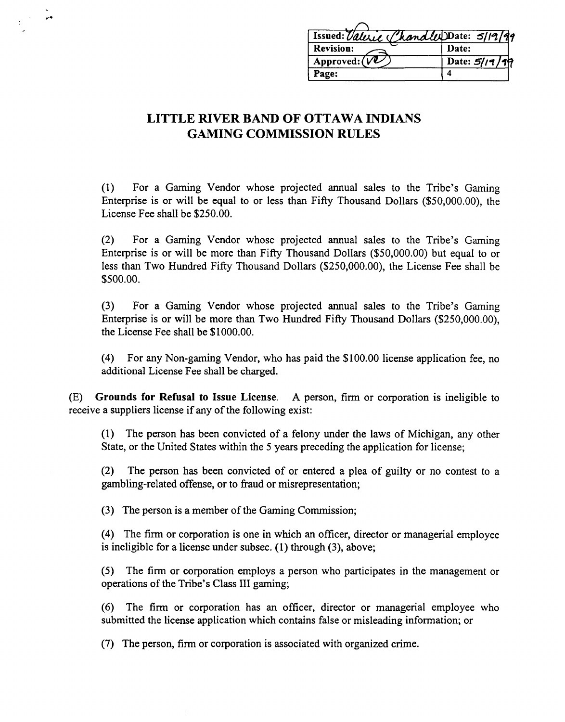| Issued: Valeric Chandler Date: 5/19/99 |               |
|----------------------------------------|---------------|
| <b>Revision:</b>                       | Date:         |
| Approved: $(VU)$                       | Date: 5/19/19 |
| Page:                                  |               |

 $\mathbf{r}$ 

(1) For a Gaming Vendor whose projected annual sales to the Tribe's Gaming Enterprise is or will be equal to or less than Fifty Thousand Dollars (\$50,000.00), the License Fee shall be \$250.00.

**(2)** For a Gaming Vendor whose projected annual sales to the Tribe's Gaming Enterprise is or will be more than Fifty Thousand Dollars (\$50,000.00) but equal to or less than Two Hundred Fifty Thousand Dollars (\$250,000.00), the License Fee shall be \$500.00.

(3) For a Gaming Vendor whose projected annual sales to the Tribe's Gaming Enterprise is or will be more than Two Hundred Fifty Thousand Dollars (\$250,000.00), the License Fee shall be \$1000.00.

(4) For any Non-gaming Vendor, who has paid the \$1 00.00 license application fee, no additional License Fee shall be charged.

(E) **Grounds for Refusal to Issue License. A** person, firm or corporation is ineligible to receive a suppliers license if any of the following exist:

(1) The person has been convicted of a felony under the laws of Michigan, any other State, or the United States within the 5 years preceding the application for license;

(2) The person has been convicted of or entered a plea of guilty or no contest to a gambling-related offense, or to fiaud or misrepresentation;

**(3)** The person is a member of the Gaming Commission;

(4) The firm or corporation is one in which an officer, director or managerial employee is ineligible for a license under subsec. (1) through (3), above;

**(5)** The firm or corporation employs a person who participates in the management or operations of the Tribe's Class 111 gaming;

*(6)* The firm or corporation has an officer, director or managerial employee who submitted the license application which contains false or misleading information; or

(7) The person, firm or corporation is associated with organized crime.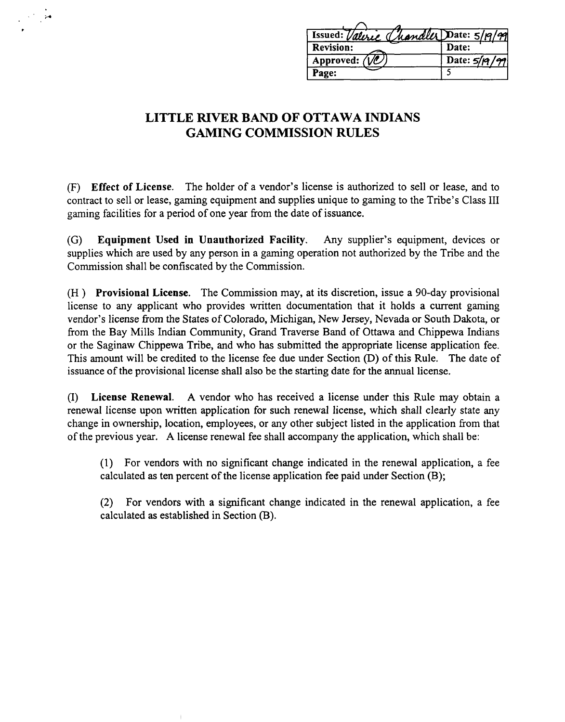| Issued: Valerie Chandler Date: 5/19/99 |                 |
|----------------------------------------|-----------------|
| <b>Revision:</b>                       | Date:           |
| Approved: $(\sqrt{\mathcal{Q}})$       | Date: $5/19/99$ |
| Page:                                  |                 |

**(F) Effect of License.** The holder of a vendor's license is authorized to sell or lease, and to contract to sell or lease, gaming equipment and supplies unique to gaming to the Tribe's Class I11 gaming facilities for a period of one year from the date of issuance.

(G) **Equipment Used in Unauthorized Facility.** Any supplier's equipment, devices or supplies which are used by any person in a gaming operation not authorized by the Tribe and the Commission shall be confiscated by the Commission.

**(H** ) **Provisional License.** The Commission may, at its discretion, issue a 90-day provisional license to any applicant who provides written documentation that it holds a current gaming vendor's license from the States of Colorado, Michigan, New Jersey, Nevada or South Dakota, or from the Bay Mills Lndian Community, Grand Traverse Band of Ottawa and Chippewa Indians or the Saginaw Chippewa Tribe, and who has submitted the appropriate license application fee. This amount will be credited to the license fee due under Section (D) of this Rule. The date of issuance of the provisional license shall also be the starting date for the annual license.

(I) **License Renewal. A** vendor who has received a license under this Rule may obtain a renewal license upon written application for such renewal license, which shall clearly state any change in ownership, location, employees, or any other subject listed in the application from that of the previous year. A license renewal fee shall accompany the application, which shall be:

(1) For vendors with no significant change indicated in the renewal application, a fee calculated as ten percent of the license application fee paid under Section (B);

**(2)** For vendors with a significant change indicated in the renewal application, a fee calculated as established in Section (B).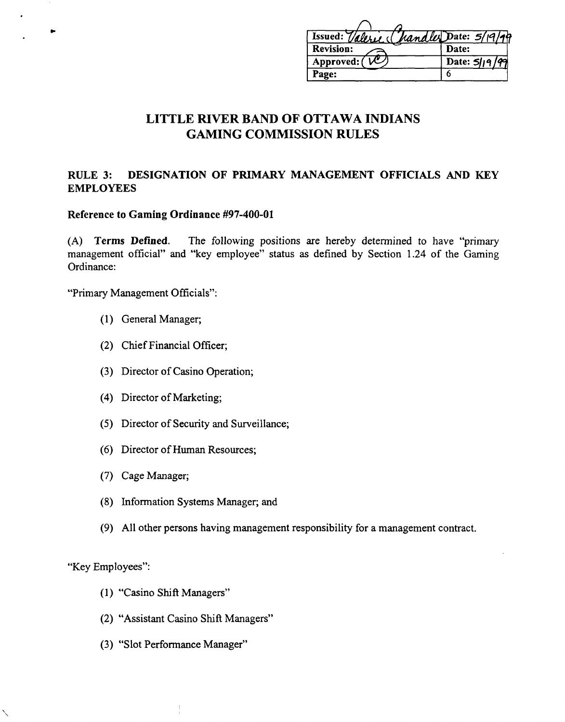| Issued: Valeric (handler Date: 5/19/99 |                 |
|----------------------------------------|-----------------|
| <b>Revision:</b>                       | Date:           |
| Approved: (                            | Date: $5/19/99$ |
| Page:                                  |                 |

### **RULE 3: DESIGNATION OF PRIMARY MANAGEMENT OFFICIALS AND KEY EMPLOYEES**

#### **Reference to Gaming Ordinance #97-400-01**

**(A) Terms Defined.** The following positions are hereby determined to have "primary management official" and "key employee" status as defined by Section **1.24** of the Gaming Ordinance:

"Primary Management Officials":

- **(1)** General Manager;
- **(2)** Chief Financial Officer;
- **(3)** Director of Casino Operation;
- (4) Director of Marketing;
- (5) Director of Security and Surveillance;
- *(6)* Director of Human Resources;
- (7) Cage Manager;
- (8) Information Systems Manager; and
- (9) All other persons having management responsibility for a management contract.

"Key Employees":

- (1) "Casino Shift Managers"
- **(2)** "Assistant Casino Shift Managers"
- **(3)** "Slot Performance Manager"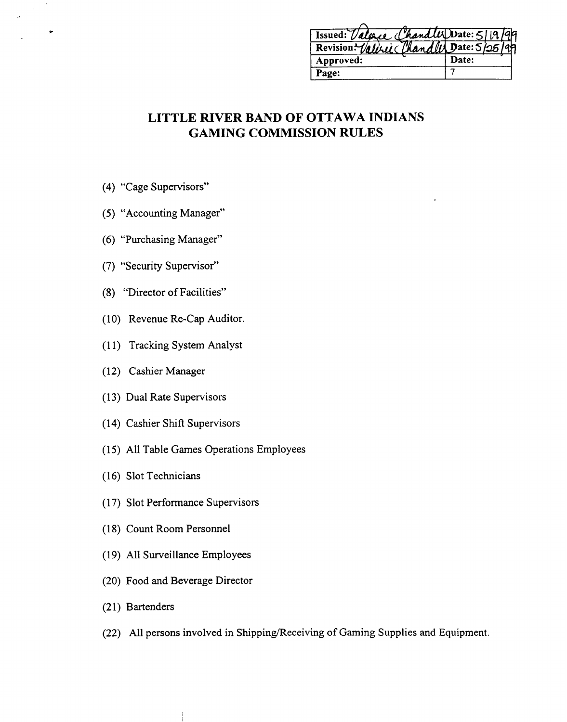| Issued: Valeric Chandler Date: 5/19/99   |       |
|------------------------------------------|-------|
| Revision: Valeric Chandler Date: 5/25/99 |       |
| Approved:                                | Date: |
| Page:                                    |       |

- (4) "Cage Supervisors"
- (5) "Accounting Manager"
- *(6)* "Purchasing Manager"
- (7) "Security Supervisor"
- (8) "Director of Facilities"
- (10) Revenue Re-Cap Auditor.
- (1 1) Tracking System Analyst
- (12) Cashier Manager
- (13) Dual Rate Supervisors
- (14) Cashier Shift Supervisors
- (15) All Table Games Operations Employees
- (16) Slot Technicians
- (17) Slot Performance Supervisors
- (1 8) Count Room Personnel
- (19) All Surveillance Employees
- (20) Food and Beverage Director
- (21) Bartenders
- (22) All persons involved in Shipping/Receiving of Gaming Supplies and Equipment.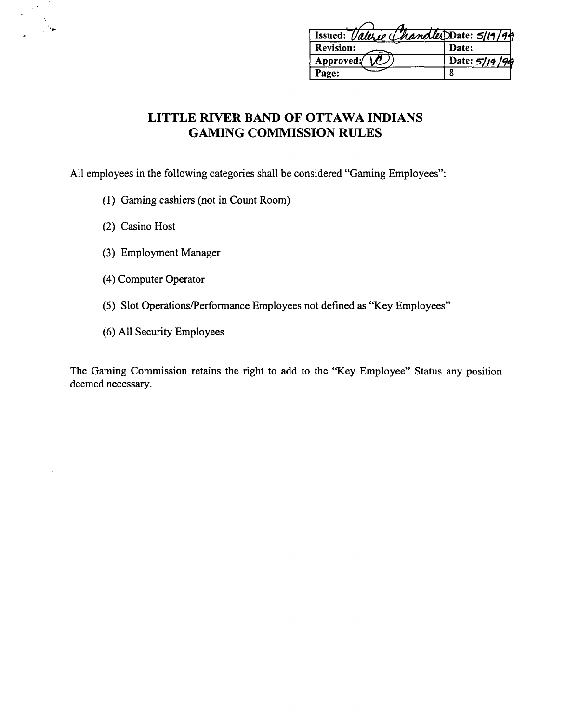| Issued: Valerie Chandler Date: 5/19/94 |                 |
|----------------------------------------|-----------------|
| <b>Revision:</b>                       | Date:           |
| Approved:                              | Date: $5/19/99$ |
| Page:                                  |                 |

All employees in the following categories shall be considered "Gaming Employees":

- (1) Gaming cashiers (not in Count Room)
- (2) Casino Host

- (3) Employment Manager
- (4) Computer Operator
- (5) Slot Operations/Performance Employees not defined as "Key Employees"
- *(6)* **All** Security Employees

 $\mathbf{j}$ 

The Gaming Commission retains the right to add to the "Key Employee" Status any position deemed necessary.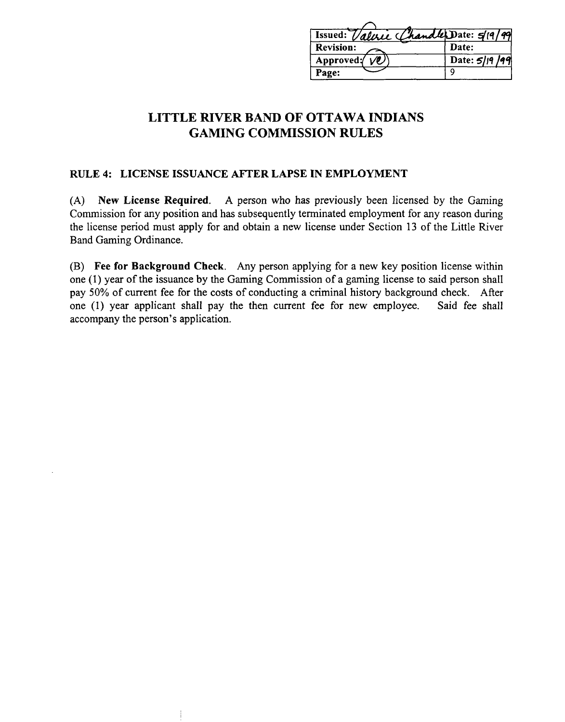| Issued: Value Chandle Date: 5/19/99 |
|-------------------------------------|
| Date:                               |
| Date: 5/19/99                       |
|                                     |
|                                     |

### **RULE 4: LICENSE ISSUANCE AFTER LAPSE IN EMPLOYMENT**

**(A) New License Required.** A person who has previously been licensed by the Gaming Commission for any position and has subsequently terminated employment for any reason during the license period must apply for and obtain a new license under Section 13 of the Little River Band Gaming Ordinance.

**(B) Fee for Background Check.** Any person applying for a new key position license within one (1) year of the issuance by the Gaming Commission of a gaming license to said person shall pay 50% of current fee for the costs of conducting a criminal history background check. After one (1) year applicant shall pay the then current fee for new employee. Said fee shall accompany the person's application.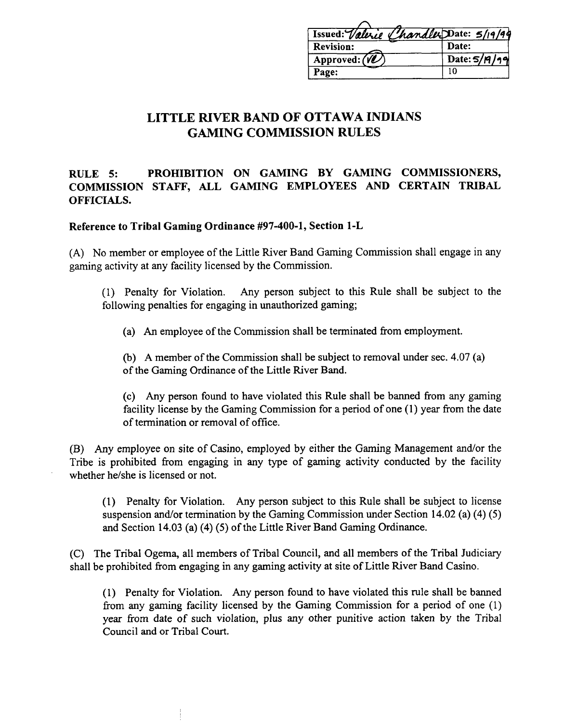| Issued: Valerie Chandler Date: 5/19/94 |                |
|----------------------------------------|----------------|
| <b>Revision:</b>                       | Date:          |
| Approved: $\langle \hat{W} \rangle$    | Date: $5/7/19$ |
| Page:                                  | 10             |

### **RULE 5: PROHIBITION ON GAMING BY GAMING COMMISSIONERS, COMMISSION STAFF, ALL GAMING EMPLOYEES AND CERTAIN TRIBAL OFFICIALS.**

**Reference to Tribal Gaming Ordinance #97-400-1, Section 1-L** 

(A) No member or employee of the Little River Band Gaming Commission shall engage in any gaming activity at any facility licensed by the Commission.

(1) Penalty for Violation. Any person subject to this Rule shall be subject to the following penalties for engaging in unauthorized gaming;

(a) An employee of the Commission shall be terminated fiom employment.

(b) A member of the Commission shall be subject to removal under sec. 4.07 (a) of the Gaming Ordinance of the Little River Band.

(c) Any person found to have violated this Rule shall be banned from any gaming facility license by the Gaming Commission for a period of one (1) year from the date of termination or removal of office.

(B) Any employee on site of Casino, employed by either the Gaming Management and/or the Tribe is prohibited fiom engaging in any type of gaming activity conducted by the facility whether he/she is licensed or not.

(1) Penalty for Violation. Any person subject to this Rule shall be subject to license suspension and/or termination by the Gaming Commission under Section 14.02 (a) (4) (5) and Section 14.03 (a) (4) (5) of the Little River Band Gaming Ordinance.

(C) The Tribal Ogema, all members of Tribal Council, and all members of the Tribal Judiciary shall be prohibited fiom engaging in any gaming activity at site of Little River Band Casino.

(1) Penalty for Violation. Any person found to have violated this rule shall be banned from any gaming facility licensed by the Gaming Commission for a period of one (1) year fiom date of such violation, plus any other punitive action taken by the Tribal Council and or Tribal Court.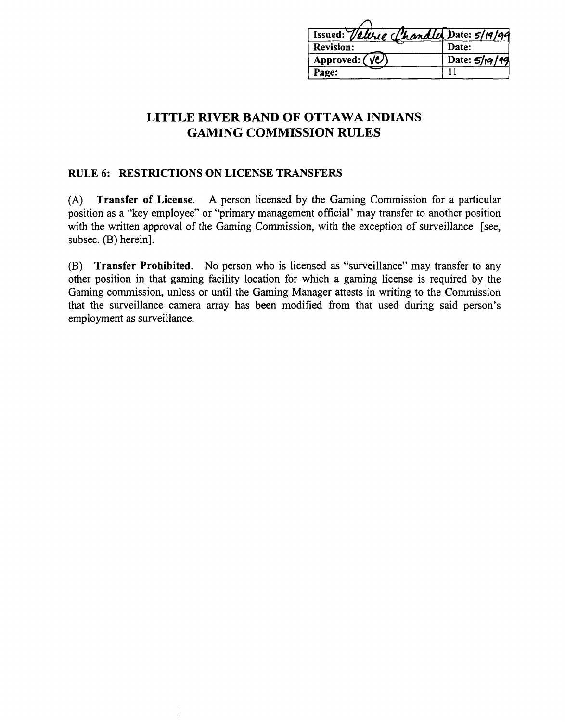| Issued: Valeric Chandles Date: 5/19/99       |                 |
|----------------------------------------------|-----------------|
| <b>Revision:</b>                             | Date:           |
| Approved: $(\overline{\sqrt{\mathcal{O}}} )$ | Date: $5/19/19$ |
| Page:                                        |                 |

#### **RULE 6: RESTRICTIONS ON LICENSE TRANSFERS**

**(A) Transfer of License. A** person licensed by the Gaming Commission for a particular position as a "key employee" or "primary management official' may transfer to another position with the written approval of the Gaming Commission, with the exception of surveillance [see, subsec. (B) herein].

**(B) Transfer Prohibited.** No person who is licensed **as** "surveillance" may transfer to any other position in that gaming facility location for whlch a gaming license is required by the Gaming commission, unless or until the Gaming Manager attests in writing to the Commission that the surveillance camera array has been modified from that used during said person's employment **as** surveillance.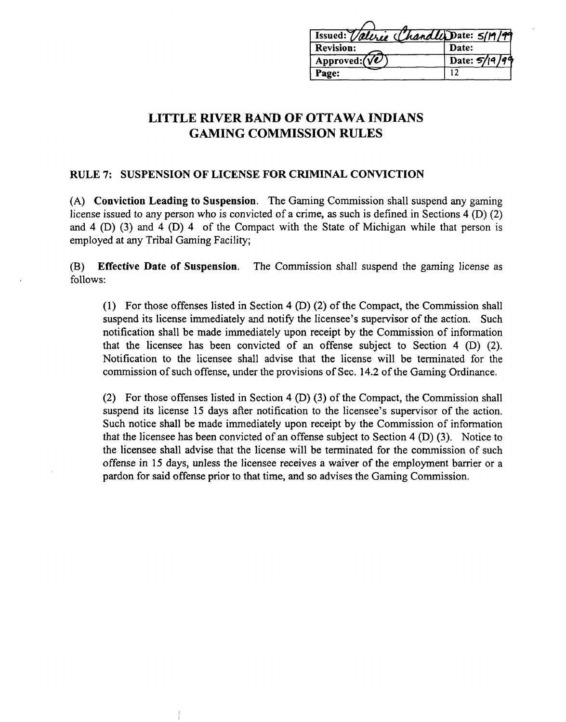| Issued: Valerie Chandle Date: 5/19/99 |
|---------------------------------------|
| Date:                                 |
| Date: $5/19/99$                       |
| 12                                    |
|                                       |

#### **RULE 7: SUSPENSION OF LICENSE FOR CRIMINAL CONVICTION**

**(A) Conviction Leading to Suspension.** The Gaming Commission shall suspend any gaming license issued to any person who is convicted of a crime, as such is defined in Sections 4 (D) (2) and 4 (D) (3) and 4 (D) 4 of the Compact with the State of Michigan while that person is employed at any Tribal Gaming Facility;

**(B) Effective Date of Suspension.** The Commission shall suspend the gaming license as follows:

(1) For those offenses listed in Section 4 (D) (2) of the Compact, the Commission shall suspend its license immediately and notify the licensee's supervisor of the action. Such notification shall be made immediately upon receipt by the Commission of information that the licensee has been convicted of an offense subject to Section  $4$  (D)  $(2)$ . Notification to the licensee shall advise that the license will be terminated for the commission of such offense, under the provisions of Sec. 14.2 of the Gaming Ordinance.

(2) For those offenses listed in Section 4  $(D)$  (3) of the Compact, the Commission shall suspend its license 15 days after notification to the licensee's supervisor of the action. Such notice shall be made immediately upon receipt by the Commission of information that the licensee has been convicted of an offense subject to Section 4 (D) (3). Notice to the licensee shall advise that the license will be terminated for the commission of such offense in 15 days, unless the licensee receives a waiver of the employment barrier or a pardon for said offense prior to that time, and so advises the Gaming Commission.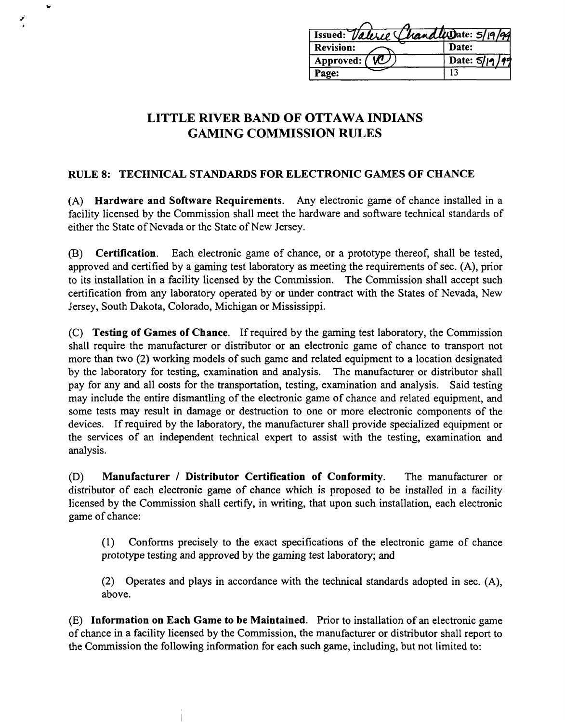| Issued: Valeric Chandle Date: 5/19/99 |                 |
|---------------------------------------|-----------------|
| <b>Revision:</b>                      | Date:           |
| Approved: (                           | Date: $5/19/99$ |
| Page:                                 |                 |

### **RULE 8: TECHNICAL STANDARDS FOR ELECTRONIC GAMES OF CHANCE**

**(A) Hardware and Software Requirements.** Any electronic game of chance installed in a facility licensed by the Commission shall meet the hardware and software technical standards of either the State of Nevada or the State of New Jersey.

**(B) Certification.** Each electronic game of chance, or a prototype thereof, shall be tested, approved and certified by a gaming test laboratory as meeting the requirements of sec. (A), prior to its installation in a facility licensed by the Commission. The Commission shall accept such certification fiom any laboratory operated by or under contract with the States of Nevada, New Jersey, South Dakota, Colorado, Michigan or Mississippi.

(C) **Testing of Games of Chance.** If required by the gaming test laboratory, the Commission shall require the manufacturer or distributor or an electronic game of chance to transport not more than two (2) working models of such game and related equipment to a location designated by the laboratory for testing, examination and analysis. The manufacturer or distributor shall pay for any and all costs for the transportation, testing, examination and analysis. Said testing may include the entire dismantling of the electronic game of chance and related equipment, and some tests may result in damage or destruction to one or more electronic components of the devices. If required by the laboratory, the manufacturer shall provide specialized equipment or the services of an independent technical expert to assist with the testing, examination and analysis.

**(D) Manufacturer** / **Distributor Certification of Conformity.** The manufacturer or distributor of each electronic game of chance which is proposed to be installed in a facility licensed by the Commission shall certify, in writing, that upon such installation, each electronic game of chance:

**(1)** Conforms precisely to the exact specifications of the electronic game of chance prototype testing and approved by the gaming test laboratory; and

(2) Operates and plays in accordance with the technical standards adopted in sec. (A), above.

**(E) Information on Each Game to be Maintained.** Prior to installation of an electronic game of chance in a facility licensed by the Commission, the manufacturer or distributor shall report to the Commission the following information for each such game, including, but not limited to: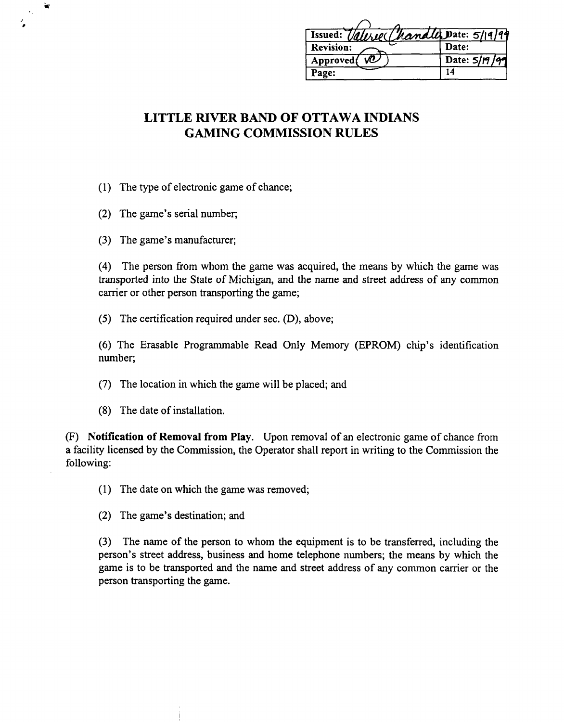| Issued: Valere (handle Date: 5/19/99 |               |
|--------------------------------------|---------------|
| Revision:                            | Date:         |
|                                      |               |
| Ŵ.<br>Approved                       | Date: 5/19/99 |

- (1) The type of electronic game of chance;
- (2) The game's serial number;

¥

(3) The game's manufacturer;

(4) The person from whom the game was acquired, the means by which the game was transported into the State of Michigan, and the name and street address of any common carrier or other person transporting the game;

(5) The certification required under sec. (D), above;

*(6)* The Erasable Programmable Read Only Memory (EPROM) chip's identification number;

- (7) The location in which the game will be placed; and
- (8) The date of installation.

**(F) Notification of Removal from Play.** Upon removal of an electronic game of chance from a facility licensed by the Commission, the Operator shall report in writing to the Commission the following:

(1) The date on which the game was removed;

(2) The game's destination; and

(3) The name of the person to whom the equipment is to be transferred, including the person's street address, business and home telephone numbers; the means by which the game is to be transported and the name and street address of any common carrier or the person transporting the game.